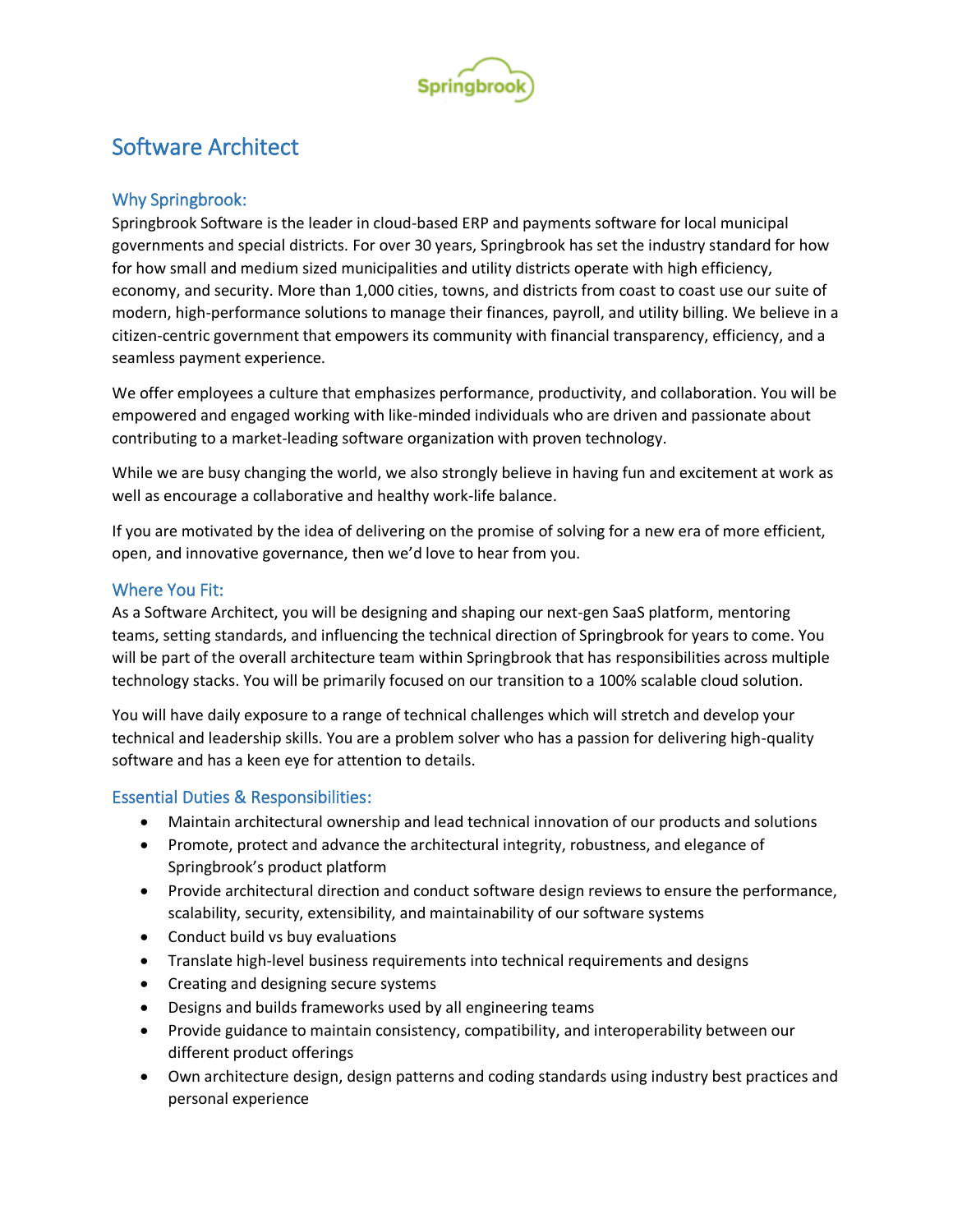

# Software Architect

## Why Springbrook:

Springbrook Software is the leader in cloud-based ERP and payments software for local municipal governments and special districts. For over 30 years, Springbrook has set the industry standard for how for how small and medium sized municipalities and utility districts operate with high efficiency, economy, and security. More than 1,000 cities, towns, and districts from coast to coast use our suite of modern, high-performance solutions to manage their finances, payroll, and utility billing. We believe in a citizen-centric government that empowers its community with financial transparency, efficiency, and a seamless payment experience.

We offer employees a culture that emphasizes performance, productivity, and collaboration. You will be empowered and engaged working with like-minded individuals who are driven and passionate about contributing to a market-leading software organization with proven technology.

While we are busy changing the world, we also strongly believe in having fun and excitement at work as well as encourage a collaborative and healthy work-life balance.

If you are motivated by the idea of delivering on the promise of solving for a new era of more efficient, open, and innovative governance, then we'd love to hear from you.

#### Where You Fit:

As a Software Architect, you will be designing and shaping our next-gen SaaS platform, mentoring teams, setting standards, and influencing the technical direction of Springbrook for years to come. You will be part of the overall architecture team within Springbrook that has responsibilities across multiple technology stacks. You will be primarily focused on our transition to a 100% scalable cloud solution.

You will have daily exposure to a range of technical challenges which will stretch and develop your technical and leadership skills. You are a problem solver who has a passion for delivering high-quality software and has a keen eye for attention to details.

#### Essential Duties & Responsibilities:

- Maintain architectural ownership and lead technical innovation of our products and solutions
- Promote, protect and advance the architectural integrity, robustness, and elegance of Springbrook's product platform
- Provide architectural direction and conduct software design reviews to ensure the performance, scalability, security, extensibility, and maintainability of our software systems
- Conduct build vs buy evaluations
- Translate high-level business requirements into technical requirements and designs
- Creating and designing secure systems
- Designs and builds frameworks used by all engineering teams
- Provide guidance to maintain consistency, compatibility, and interoperability between our different product offerings
- Own architecture design, design patterns and coding standards using industry best practices and personal experience